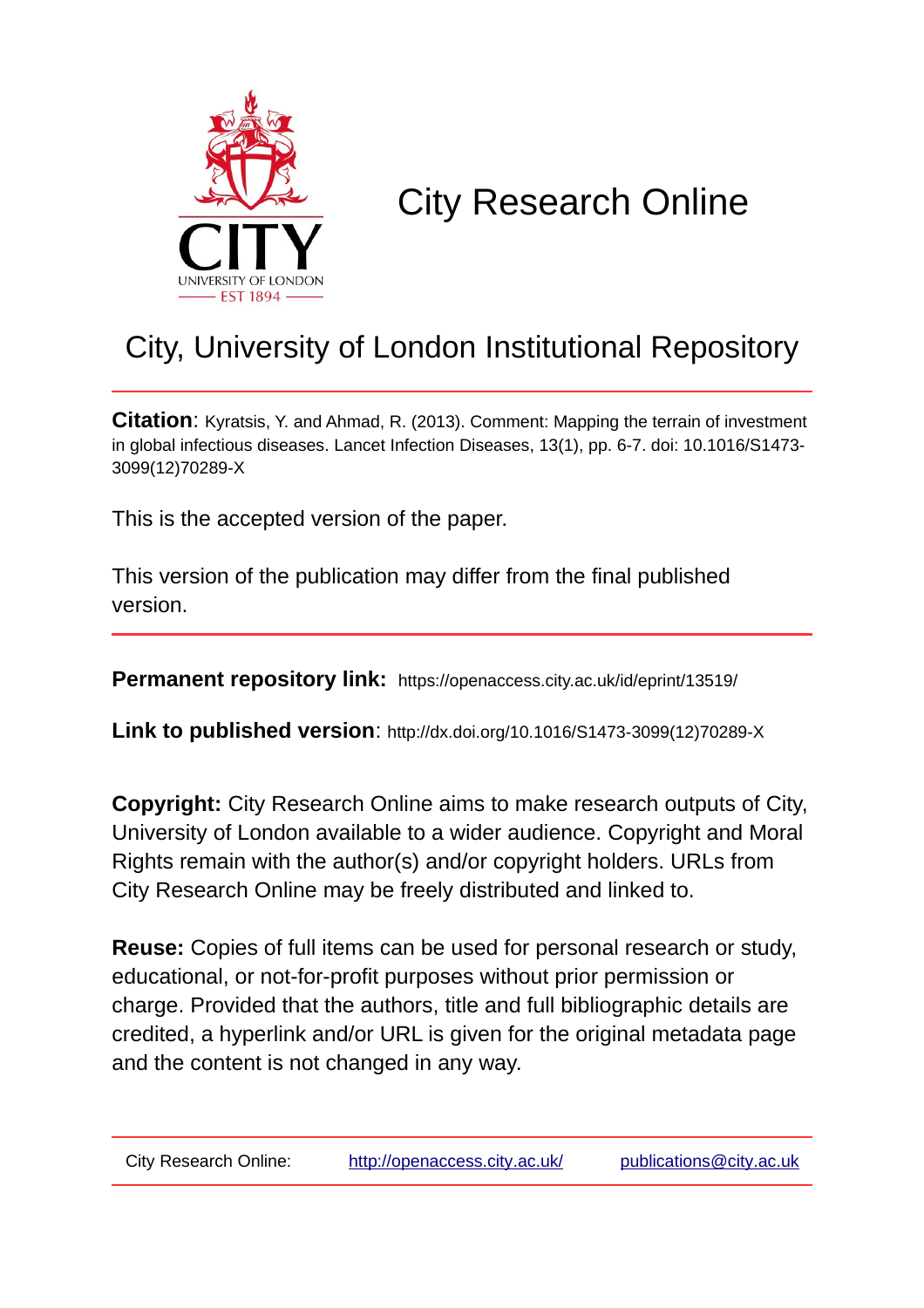

# City Research Online

## City, University of London Institutional Repository

**Citation**: Kyratsis, Y. and Ahmad, R. (2013). Comment: Mapping the terrain of investment in global infectious diseases. Lancet Infection Diseases, 13(1), pp. 6-7. doi: 10.1016/S1473- 3099(12)70289-X

This is the accepted version of the paper.

This version of the publication may differ from the final published version.

**Permanent repository link:** https://openaccess.city.ac.uk/id/eprint/13519/

**Link to published version**: http://dx.doi.org/10.1016/S1473-3099(12)70289-X

**Copyright:** City Research Online aims to make research outputs of City, University of London available to a wider audience. Copyright and Moral Rights remain with the author(s) and/or copyright holders. URLs from City Research Online may be freely distributed and linked to.

**Reuse:** Copies of full items can be used for personal research or study, educational, or not-for-profit purposes without prior permission or charge. Provided that the authors, title and full bibliographic details are credited, a hyperlink and/or URL is given for the original metadata page and the content is not changed in any way.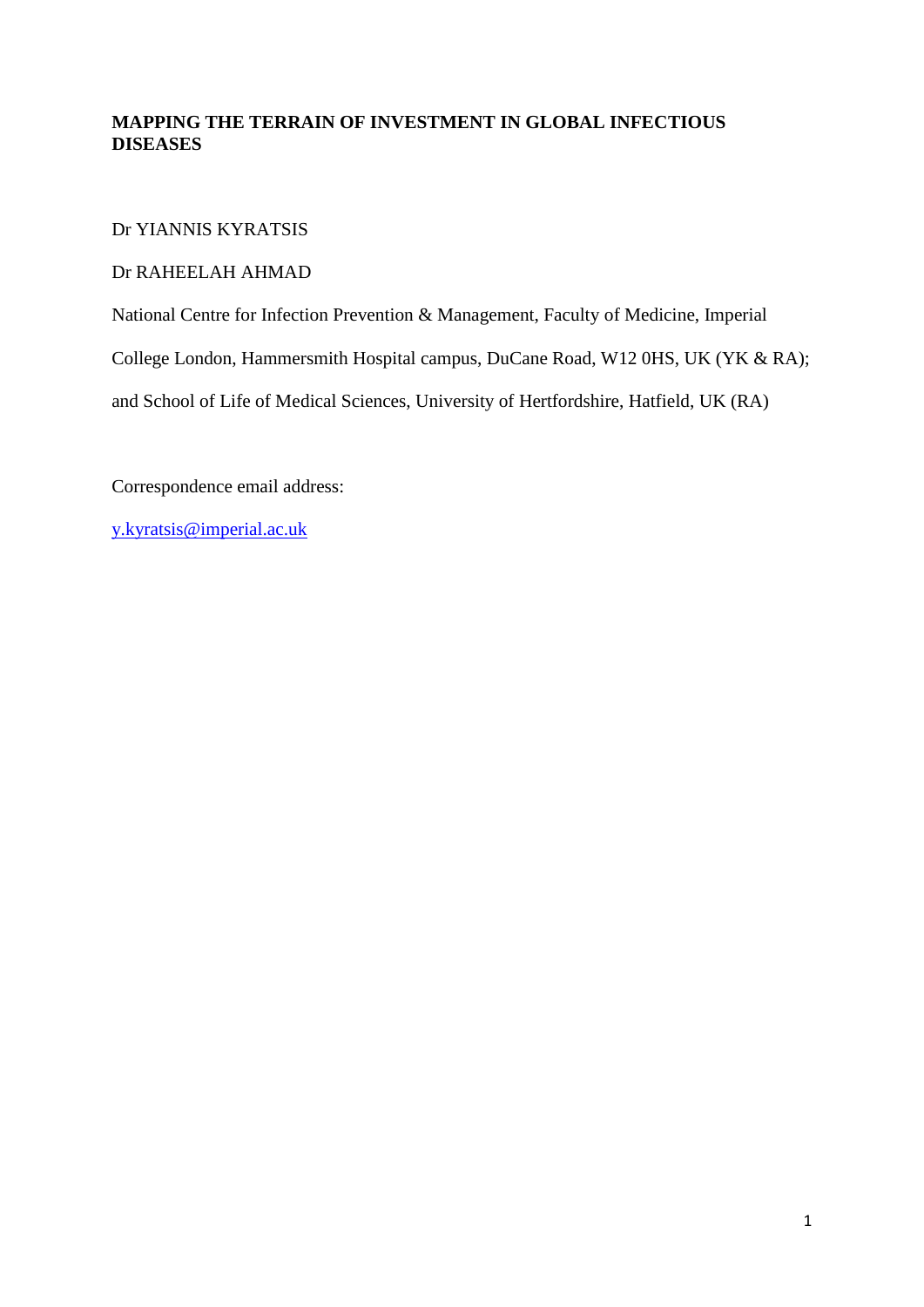### **MAPPING THE TERRAIN OF INVESTMENT IN GLOBAL INFECTIOUS DISEASES**

### Dr YIANNIS KYRATSIS

### Dr RAHEELAH AHMAD

National Centre for Infection Prevention & Management, Faculty of Medicine, Imperial

College London, Hammersmith Hospital campus, DuCane Road, W12 0HS, UK (YK & RA);

and School of Life of Medical Sciences, University of Hertfordshire, Hatfield, UK (RA)

Correspondence email address:

[y.kyratsis@imperial.ac.uk](mailto:y.kyratsis@imperial.ac.uk)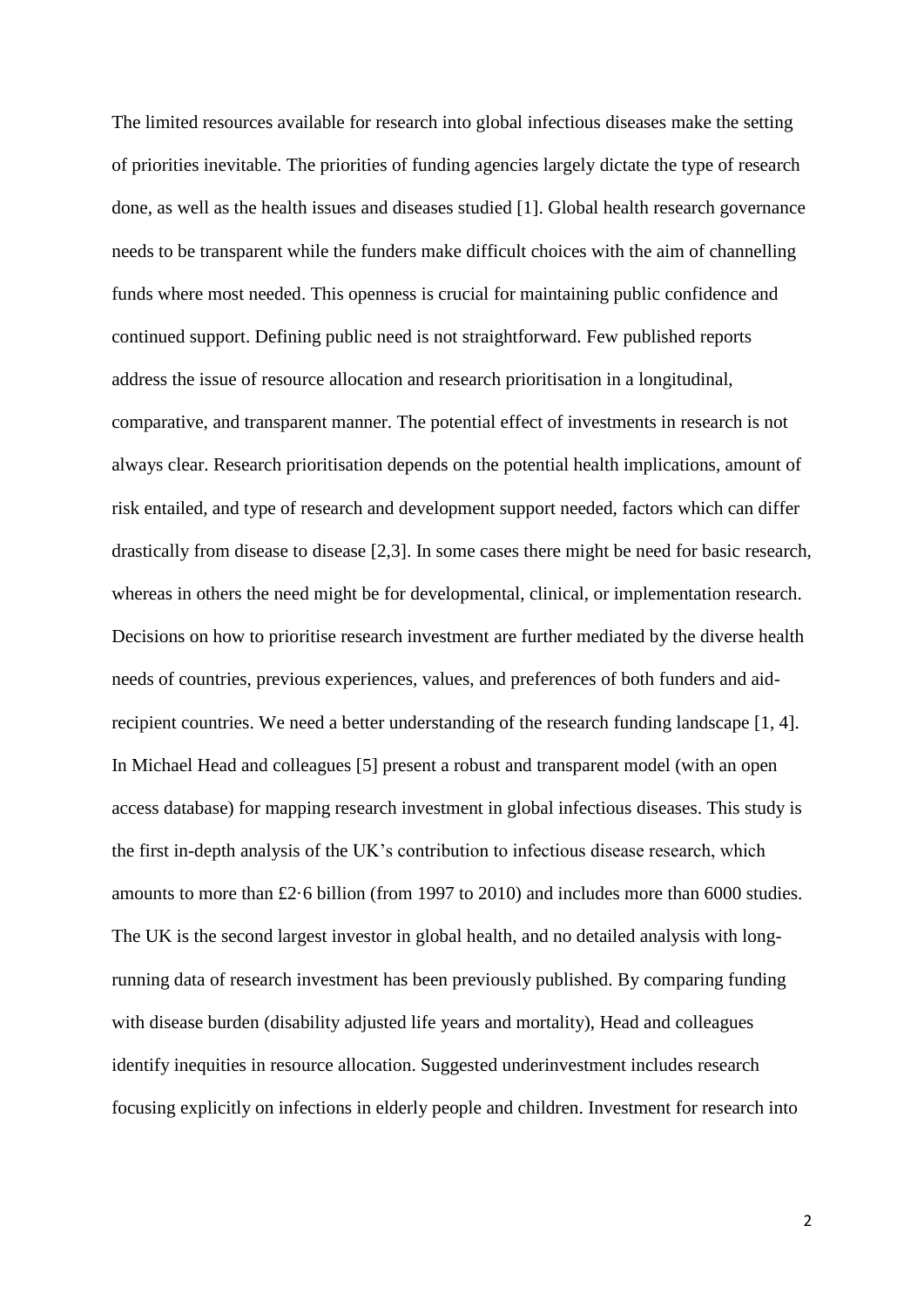The limited resources available for research into global infectious diseases make the setting of priorities inevitable. The priorities of funding agencies largely dictate the type of research done, as well as the health issues and diseases studied [1]. Global health research governance needs to be transparent while the funders make difficult choices with the aim of channelling funds where most needed. This openness is crucial for maintaining public confidence and continued support. Defining public need is not straightforward. Few published reports address the issue of resource allocation and research prioritisation in a longitudinal, comparative, and transparent manner. The potential effect of investments in research is not always clear. Research prioritisation depends on the potential health implications, amount of risk entailed, and type of research and development support needed, factors which can differ drastically from disease to disease [2,3]. In some cases there might be need for basic research, whereas in others the need might be for developmental, clinical, or implementation research. Decisions on how to prioritise research investment are further mediated by the diverse health needs of countries, previous experiences, values, and preferences of both funders and aidrecipient countries. We need a better understanding of the research funding landscape [1, 4]. In Michael Head and colleagues [5] present a robust and transparent model (with an open access database) for mapping research investment in global infectious diseases. This study is the first in-depth analysis of the UK's contribution to infectious disease research, which amounts to more than £2·6 billion (from 1997 to 2010) and includes more than 6000 studies. The UK is the second largest investor in global health, and no detailed analysis with longrunning data of research investment has been previously published. By comparing funding with disease burden (disability adjusted life years and mortality), Head and colleagues identify inequities in resource allocation. Suggested underinvestment includes research focusing explicitly on infections in elderly people and children. Investment for research into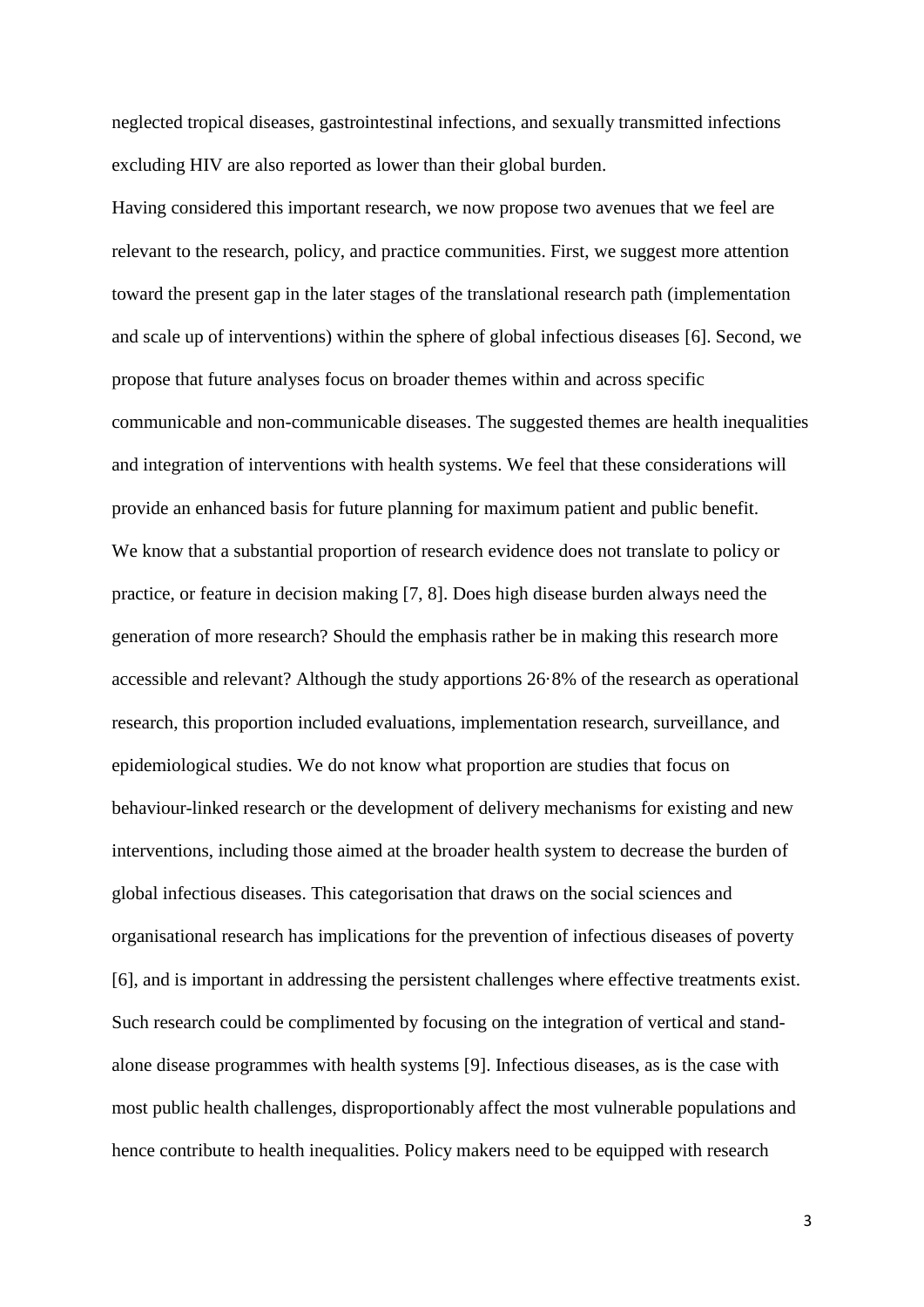neglected tropical diseases, gastrointestinal infections, and sexually transmitted infections excluding HIV are also reported as lower than their global burden.

Having considered this important research, we now propose two avenues that we feel are relevant to the research, policy, and practice communities. First, we suggest more attention toward the present gap in the later stages of the translational research path (implementation and scale up of interventions) within the sphere of global infectious diseases [6]. Second, we propose that future analyses focus on broader themes within and across specific communicable and non-communicable diseases. The suggested themes are health inequalities and integration of interventions with health systems. We feel that these considerations will provide an enhanced basis for future planning for maximum patient and public benefit. We know that a substantial proportion of research evidence does not translate to policy or practice, or feature in decision making [7, 8]. Does high disease burden always need the generation of more research? Should the emphasis rather be in making this research more accessible and relevant? Although the study apportions 26·8% of the research as operational research, this proportion included evaluations, implementation research, surveillance, and epidemiological studies. We do not know what proportion are studies that focus on behaviour-linked research or the development of delivery mechanisms for existing and new interventions, including those aimed at the broader health system to decrease the burden of global infectious diseases. This categorisation that draws on the social sciences and organisational research has implications for the prevention of infectious diseases of poverty [6], and is important in addressing the persistent challenges where effective treatments exist. Such research could be complimented by focusing on the integration of vertical and standalone disease programmes with health systems [9]. Infectious diseases, as is the case with most public health challenges, disproportionably affect the most vulnerable populations and hence contribute to health inequalities. Policy makers need to be equipped with research

3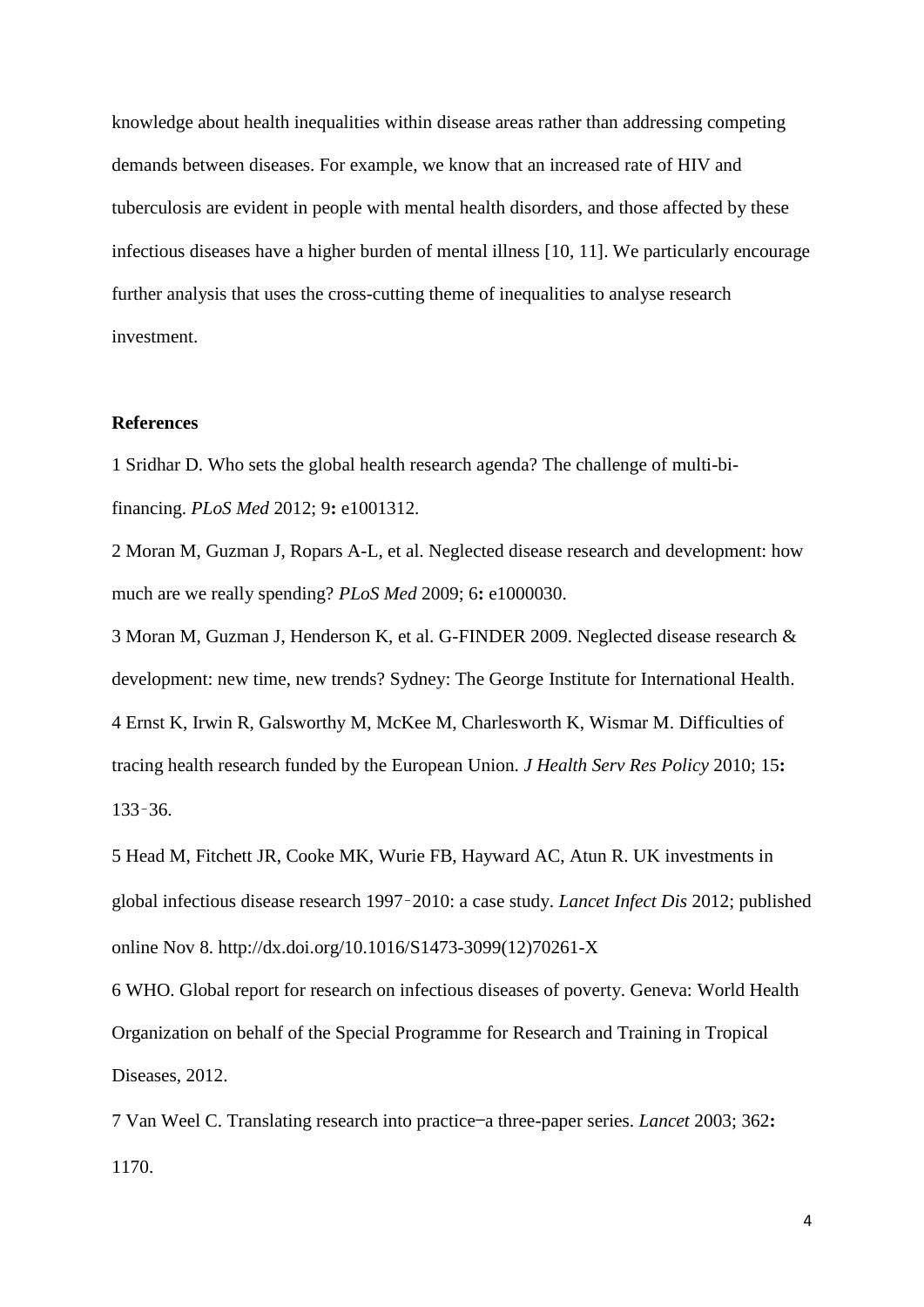knowledge about health inequalities within disease areas rather than addressing competing demands between diseases. For example, we know that an increased rate of HIV and tuberculosis are evident in people with mental health disorders, and those affected by these infectious diseases have a higher burden of mental illness [10, 11]. We particularly encourage further analysis that uses the cross-cutting theme of inequalities to analyse research investment.

#### **References**

1 Sridhar D. Who sets the global health research agenda? The challenge of multi-bifinancing. *PLoS Med* 2012; 9**:** e1001312.

2 Moran M, Guzman J, Ropars A-L, et al. Neglected disease research and development: how much are we really spending? *PLoS Med* 2009; 6**:** e1000030.

3 Moran M, Guzman J, Henderson K, et al. G-FINDER 2009. Neglected disease research & development: new time, new trends? Sydney: The George Institute for International Health. 4 Ernst K, Irwin R, Galsworthy M, McKee M, Charlesworth K, Wismar M. Difficulties of tracing health research funded by the European Union. *J Health Serv Res Policy* 2010; 15**:**  133–36.

5 Head M, Fitchett JR, Cooke MK, Wurie FB, Hayward AC, Atun R. UK investments in global infectious disease research 1997–2010: a case study. *Lancet Infect Dis* 2012; published online Nov 8. http://dx.doi.org/10.1016/S1473-3099(12)70261-X

6 WHO. Global report for research on infectious diseases of poverty. Geneva: World Health Organization on behalf of the Special Programme for Research and Training in Tropical Diseases, 2012.

7 Van Weel C. Translating research into practice—a three-paper series. *Lancet* 2003; 362**:**  1170.